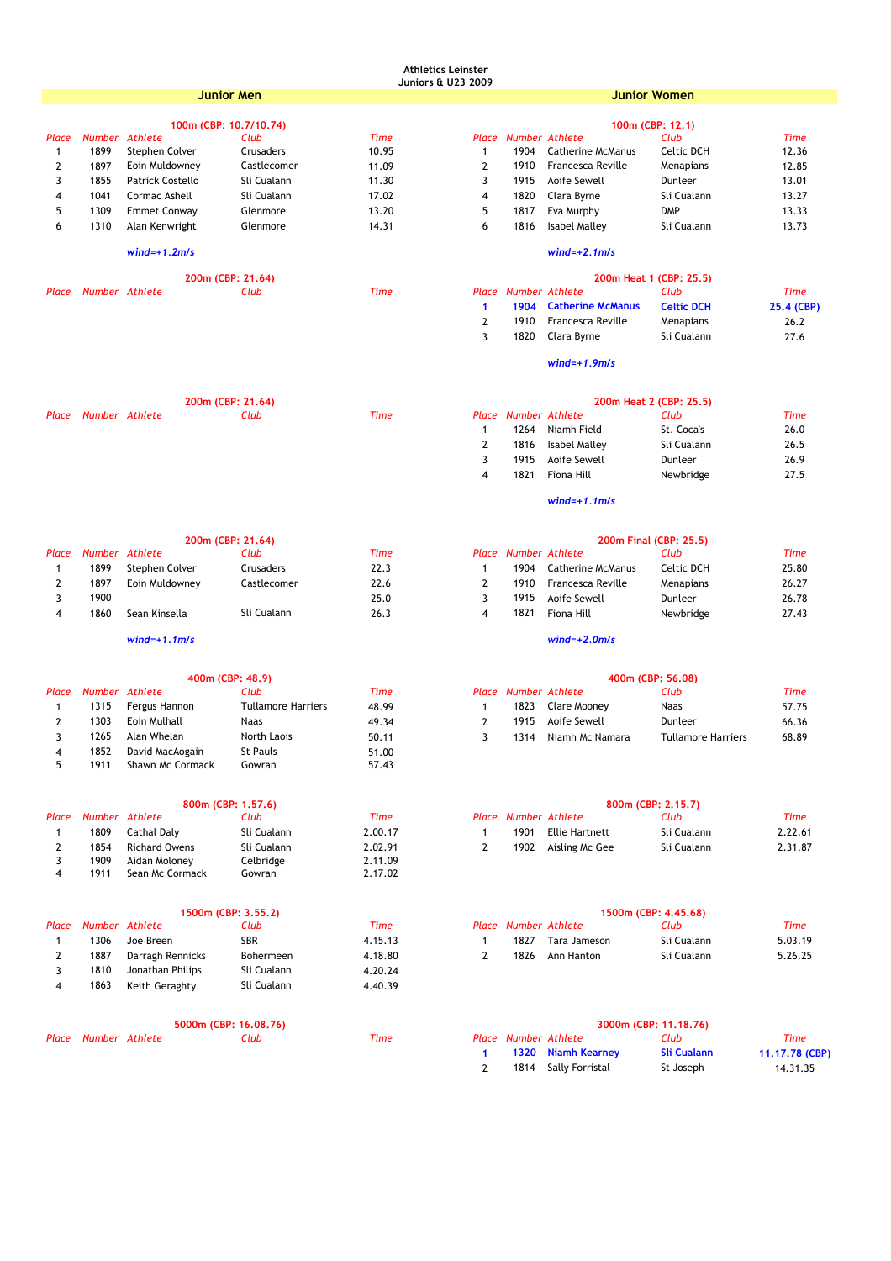# **Athletics Leinster**

| <b>Juniors &amp; U23 2009</b> |  |  |
|-------------------------------|--|--|
|                               |  |  |

|              |                | Junior Men                            |                           |             | umorsu. UZJ ZUU i |                             |                          | <b>Junior Women</b>        |             |
|--------------|----------------|---------------------------------------|---------------------------|-------------|-------------------|-----------------------------|--------------------------|----------------------------|-------------|
|              |                | 100m (CBP: 10.7/10.74)                |                           |             |                   |                             |                          | 100m (CBP: 12.1)           |             |
| Place        | Number         | <b>Athlete</b>                        | Club                      | <b>Time</b> |                   | Place Number Athlete        |                          | Club                       | <b>Time</b> |
| $\mathbf{1}$ | 1899           | Stephen Colver                        | Crusaders                 | 10.95       | 1                 | 1904                        | <b>Catherine McManus</b> | Celtic DCH                 | 12.36       |
| 2            | 1897           | Eoin Muldowney                        | Castlecomer               | 11.09       | $\mathbf{2}$      | 1910                        | Francesca Reville        | Menapians                  | 12.85       |
| 3            | 1855           | Patrick Costello                      | Sli Cualann               | 11.30       | 3                 | 1915                        | Aoife Sewell             | Dunleer                    | 13.01       |
| 4            | 1041           | Cormac Ashell                         | Sli Cualann               | 17.02       | 4                 | 1820                        | Clara Byrne              | Sli Cualann                | 13.27       |
| 5            | 1309           | <b>Emmet Conway</b>                   | Glenmore                  | 13.20       | 5                 | 1817                        | Eva Murphy               | <b>DMP</b>                 | 13.33       |
| 6            | 1310           | Alan Kenwright                        | Glenmore                  | 14.31       | 6                 | 1816                        | <b>Isabel Malley</b>     | Sli Cualann                | 13.73       |
|              |                | $wind=+1.2m/s$                        |                           |             |                   |                             | $wind=+2.1$ m/s          |                            |             |
|              |                | 200m (CBP: 21.64)                     |                           |             |                   |                             |                          | 200m Heat 1 (CBP: 25.5)    |             |
| Place        | Number Athlete |                                       | Club                      | <b>Time</b> |                   | <b>Place Number Athlete</b> |                          | Club                       | <b>Time</b> |
|              |                |                                       |                           |             | 1                 | 1904                        | <b>Catherine McManus</b> | <b>Celtic DCH</b>          | 25.4 (CB    |
|              |                |                                       |                           |             | $\mathbf{2}$      | 1910                        | Francesca Reville        | Menapians                  | 26.2        |
|              |                |                                       |                           |             | 3                 | 1820                        | Clara Byrne              | Sli Cualann                | 27.6        |
|              |                |                                       |                           |             |                   |                             |                          |                            |             |
|              |                |                                       |                           |             |                   |                             | $wind=+1.9m/s$           |                            |             |
|              |                | 200m (CBP: 21.64)                     |                           |             |                   |                             |                          | 200m Heat 2 (CBP: 25.5)    |             |
| Place        | Number Athlete |                                       | Club                      | <b>Time</b> | Place             |                             | <b>Number Athlete</b>    | Club                       | Time        |
|              |                |                                       |                           |             | $\mathbf{1}$      | 1264                        | Niamh Field              | St. Coca's                 | 26.0        |
|              |                |                                       |                           |             | $\overline{2}$    | 1816                        | <b>Isabel Malley</b>     | Sli Cualann                | 26.5        |
|              |                |                                       |                           |             | 3                 | 1915                        | Aoife Sewell             | Dunleer                    | 26.9        |
|              |                |                                       |                           |             | 4                 | 1821                        | Fiona Hill               | Newbridge                  | 27.5        |
|              |                |                                       |                           |             |                   |                             | $wind=+1.1m/s$           |                            |             |
|              |                |                                       |                           |             |                   |                             |                          |                            |             |
|              |                | 200m (CBP: 21.64)                     |                           |             |                   |                             |                          | 200m Final (CBP: 25.5)     |             |
| Place        | Number Athlete |                                       | Club                      | Time        |                   | Place Number Athlete        |                          | Club                       | <b>Time</b> |
| $\mathbf{1}$ | 1899           | Stephen Colver                        | Crusaders                 | 22.3        | 1                 | 1904                        | <b>Catherine McManus</b> | <b>Celtic DCH</b>          | 25.80       |
| 2            | 1897           | Eoin Muldowney                        | Castlecomer               | 22.6        | $\overline{2}$    | 1910                        | Francesca Reville        | Menapians                  | 26.27       |
| 3            | 1900           |                                       |                           | 25.0        | 3                 | 1915                        | Aoife Sewell             | Dunleer                    | 26.78       |
| 4            | 1860           | Sean Kinsella                         | Sli Cualann               | 26.3        | 4                 | 1821                        | Fiona Hill               | Newbridge                  | 27.43       |
|              |                | $wind=+1.1m/s$                        |                           |             |                   |                             | $wind=+2.0$ m/s          |                            |             |
|              |                | 400m (CBP: 48.9)                      |                           |             |                   |                             |                          | 400m (CBP: 56.08)          |             |
| Place        | <b>Number</b>  | Athlete                               | Club                      | <b>Time</b> |                   | Place Number Athlete        |                          | Club                       | Time        |
| $\mathbf{1}$ | 1315           | Fergus Hannon                         | <b>Tullamore Harriers</b> | 48.99       | 1                 | 1823                        | Clare Mooney             | Naas                       | 57.75       |
| 2            | 1303           | Eoin Mulhall                          | Naas                      | 49.34       | $\mathbf{2}$      | 1915                        | Aoife Sewell             | Dunleer                    | 66.36       |
| 3            | 1265           | Alan Whelan                           | North Laois               | 50.11       | 3                 | 1314                        | Niamh Mc Namara          | <b>Tullamore Harriers</b>  | 68.89       |
| 4            | 1852           | David MacAogain                       | St Pauls                  | 51.00       |                   |                             |                          |                            |             |
| 5            | 1911           | Shawn Mc Cormack                      | Gowran                    | 57.43       |                   |                             |                          |                            |             |
|              |                |                                       |                           |             |                   |                             |                          |                            |             |
| Place        |                | 800m (CBP: 1.57.6)<br>Number Athlete  | Club                      | <b>Time</b> |                   | Place Number Athlete        |                          | 800m (CBP: 2.15.7)<br>Club | <b>Time</b> |
| $\mathbf{1}$ | 1809           | <b>Cathal Daly</b>                    | Sli Cualann               | 2.00.17     | 1                 | 1901                        | <b>Ellie Hartnett</b>    | Sli Cualann                | 2.22.61     |
| $\mathbf{2}$ | 1854           | <b>Richard Owens</b>                  | Sli Cualann               | 2.02.91     | $\overline{2}$    | 1902                        | Aisling Mc Gee           | Sli Cualann                | 2.31.87     |
| 3            | 1909           | Aidan Moloney                         | Celbridge                 | 2.11.09     |                   |                             |                          |                            |             |
| 4            | 1911           | Sean Mc Cormack                       | Gowran                    | 2.17.02     |                   |                             |                          |                            |             |
|              |                |                                       |                           |             |                   |                             |                          |                            |             |
|              |                | 1500m (CBP: 3.55.2)<br>Number Athlete |                           |             |                   |                             |                          | 1500m (CBP: 4.45.68)       |             |
| Place        |                |                                       | Club                      | <b>Time</b> |                   | Place Number Athlete        |                          | Club                       | Time        |
| $\mathbf{1}$ | 1306           | Joe Breen                             | SBR                       | 4.15.13     | 1                 | 1827                        | Tara Jameson             | Sli Cualann                | 5.03.19     |
| 2            | 1887           | Darragh Rennicks                      | Bohermeen                 | 4.18.80     | $\mathbf{2}$      | 1826                        | Ann Hanton               | Sli Cualann                | 5.26.25     |
| 3            | 1810           | Jonathan Philips                      | Sli Cualann               | 4.20.24     |                   |                             |                          |                            |             |
| 4            | 1863           | Keith Geraghty                        | Sli Cualann               | 4.40.39     |                   |                             |                          |                            |             |
|              |                | 5000m (CBP: 16.08.76)                 |                           |             |                   |                             |                          | 3000m (CBP: 11.18.76)      |             |
| Place        | Number Athlete |                                       | Club                      | <b>Time</b> |                   | Place Number Athlete        |                          | Club                       | Time        |
|              |                |                                       |                           |             | $\mathbf{1}$      | 1320                        | <b>Niamh Kearney</b>     | <b>Sli Cualann</b>         | 11.17.78 (  |
|              |                |                                       |                           |             | $\mathbf{2}$      | 1814                        | Sally Forristal          | St Joseph                  | 14.31.3     |
|              |                |                                       |                           |             |                   |                             |                          |                            |             |
|              |                |                                       |                           |             |                   |                             |                          |                            |             |
|              |                |                                       |                           |             |                   |                             |                          |                            |             |
|              |                |                                       |                           |             |                   |                             |                          |                            |             |

|               | 200m Heat 1 (CBP: 25.5) |                        |  |                   |            |  |  |  |  |
|---------------|-------------------------|------------------------|--|-------------------|------------|--|--|--|--|
|               | lace Number Athlete     |                        |  | Club              | Time       |  |  |  |  |
| $\mathbf{1}$  |                         | 1904 Catherine McManus |  | <b>Celtic DCH</b> | 25.4 (CBP) |  |  |  |  |
| $\mathcal{L}$ | 1910                    | Francesca Reville      |  | Menapians         | 26.2       |  |  |  |  |
| 3             |                         | 1820 Clara Byrne       |  | Sli Cualann       | 27.6       |  |  |  |  |

|              | 200m Heat 2 (CBP: 25.5) |                    |             |             |  |  |  |  |
|--------------|-------------------------|--------------------|-------------|-------------|--|--|--|--|
|              | Place Number Athlete    |                    | Club        | <b>Time</b> |  |  |  |  |
| $\mathbf{1}$ |                         | 1264 Niamh Field   | St. Coca's  | 26.0        |  |  |  |  |
| 2            |                         | 1816 Isabel Malley | Sli Cualann | 26.5        |  |  |  |  |
| 3            |                         | 1915 Aoife Sewell  | Dunleer     | 26.9        |  |  |  |  |
| 4            | 1821                    | Fiona Hill         | Newbridge   | 27.5        |  |  |  |  |

|                |                      | 200m Final (CBP: 25.5)   |            |             |
|----------------|----------------------|--------------------------|------------|-------------|
|                | Place Number Athlete |                          | Club       | <b>Time</b> |
| -1             | 1904                 | <b>Catherine McManus</b> | Celtic DCH | 25.80       |
| $\overline{2}$ | 1910                 | Francesca Reville        | Menapians  | 26.27       |
| 3              |                      | 1915 Aoife Sewell        | Dunleer    | 26.78       |
| 4              | 1821                 | Fiona Hill               | Newbridge  | 27.43       |
|                |                      |                          |            |             |

|                | 800m (CBP: 2.15.7)   |                     |             |         |  |  |  |  |  |
|----------------|----------------------|---------------------|-------------|---------|--|--|--|--|--|
|                | Place Number Athlete |                     | Club        | Time    |  |  |  |  |  |
| $\overline{1}$ |                      | 1901 Ellie Hartnett | Sli Cualann | 2.22.61 |  |  |  |  |  |
|                |                      | 1902 Aisling Mc Gee | Sli Cualann | 2.31.87 |  |  |  |  |  |

|               | 1500m (CBP: 4.45.68) |                   |             |         |  |  |  |  |
|---------------|----------------------|-------------------|-------------|---------|--|--|--|--|
|               | Place Number Athlete |                   | Club        | Time    |  |  |  |  |
| $\mathbf{1}$  |                      | 1827 Tara Jameson | Sli Cualann | 5.03.19 |  |  |  |  |
| $\mathcal{P}$ |                      | 1826 Ann Hanton   | Sli Cualann | 5.26.25 |  |  |  |  |

|               | 3000m (CBP: 11.18.76) |                      |                    |                |  |  |  |  |  |
|---------------|-----------------------|----------------------|--------------------|----------------|--|--|--|--|--|
|               | Place Number Athlete  |                      | Club               | Time           |  |  |  |  |  |
|               |                       | 1320 Niamh Kearney   | <b>Sli Cualann</b> | 11.17.78 (CBP) |  |  |  |  |  |
| $\mathcal{P}$ |                       | 1814 Sally Forristal | St Joseph          | 14.31.35       |  |  |  |  |  |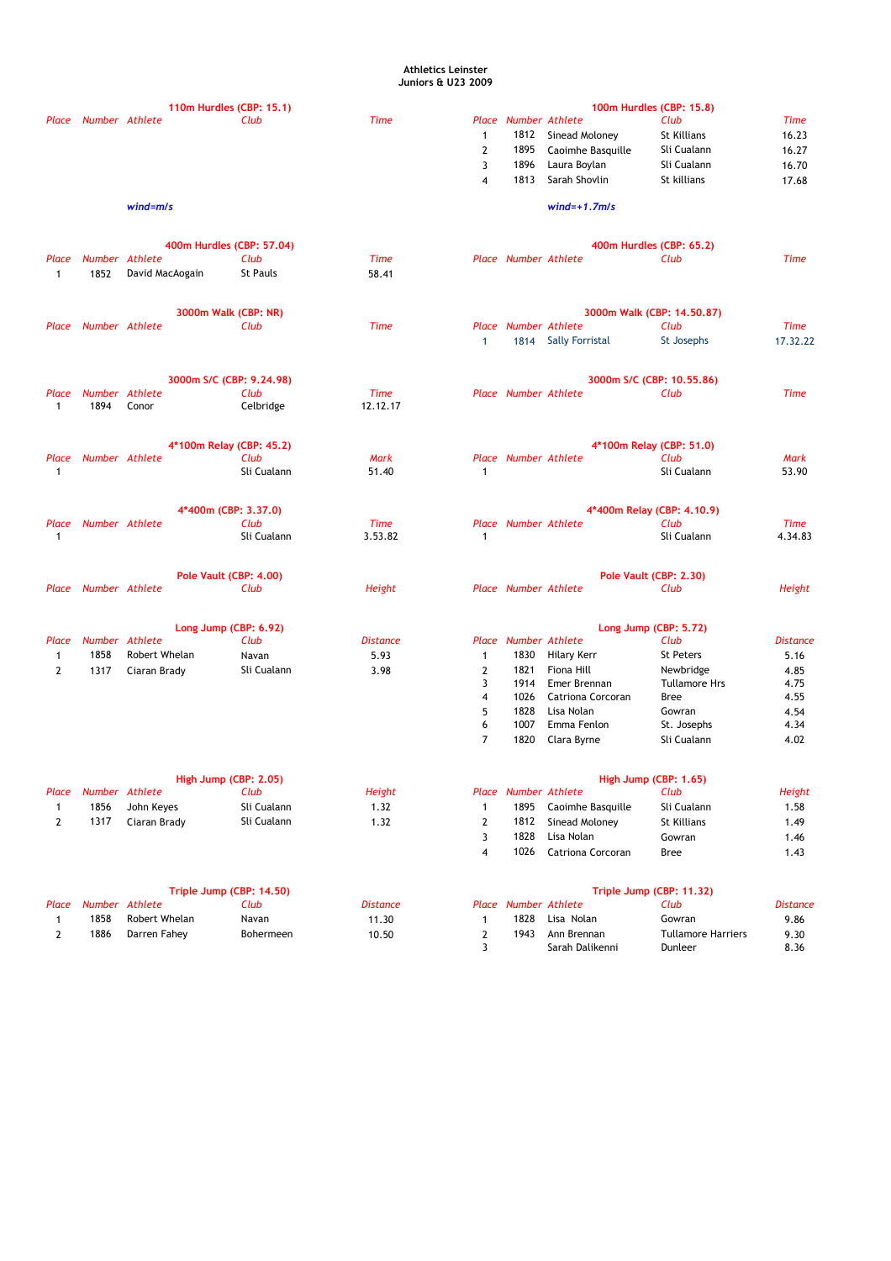### **Athletics Leinster Juniors & U23 2009**

|                |                |                 | 110m Hurdles (CBP: 15.1)         |                 |                |                             |                          | 100m Hurdles (CBP: 15.8)   |                 |
|----------------|----------------|-----------------|----------------------------------|-----------------|----------------|-----------------------------|--------------------------|----------------------------|-----------------|
| Place          | Number Athlete |                 | Club                             | <b>Time</b>     |                | Place Number Athlete        |                          | Club                       | Time            |
|                |                |                 |                                  |                 | 1              | 1812                        | Sinead Moloney           | St Killians                | 16.23           |
|                |                |                 |                                  |                 | 2              | 1895                        | Caoimhe Basquille        | Sli Cualann                | 16.27           |
|                |                |                 |                                  |                 | 3              | 1896                        | Laura Boylan             | Sli Cualann                | 16.70           |
|                |                |                 |                                  |                 | 4              | 1813                        | Sarah Shovlin            | St killians                | 17.68           |
|                |                | $wind = m/s$    |                                  |                 |                |                             | $wind=+1.7m/s$           |                            |                 |
|                |                |                 | 400m Hurdles (CBP: 57.04)        |                 |                |                             |                          | 400m Hurdles (CBP: 65.2)   |                 |
| Place          | Number Athlete |                 | Club                             | <b>Time</b>     |                | <b>Place Number Athlete</b> |                          | Club                       | <b>Time</b>     |
| $\mathbf{1}$   | 1852           | David MacAogain | St Pauls                         | 58.41           |                |                             |                          |                            |                 |
|                |                |                 | 3000m Walk (CBP: NR)             |                 |                |                             |                          | 3000m Walk (CBP: 14.50.87) |                 |
| Place          | Number Athlete |                 | Club                             | <b>Time</b>     |                | Place Number Athlete        |                          | Club                       | <b>Time</b>     |
|                |                |                 |                                  |                 | $\mathbf{1}$   |                             | 1814 Sally Forristal     | St Josephs                 | 17.32.22        |
|                |                |                 | 3000m S/C (CBP: 9.24.98)         |                 |                |                             |                          | 3000m S/C (CBP: 10.55.86)  |                 |
| Place          | Number Athlete |                 | Club                             | <b>Time</b>     |                | <b>Place Number Athlete</b> |                          | Club                       | Time            |
| $\mathbf{1}$   | 1894           | Conor           | Celbridge                        | 12.12.17        |                |                             |                          |                            |                 |
|                |                |                 |                                  |                 |                |                             |                          | 4*100m Relay (CBP: 51.0)   |                 |
| Place          | Number Athlete |                 | 4*100m Relay (CBP: 45.2)<br>Club | <b>Mark</b>     |                | <b>Place Number Athlete</b> |                          | Club                       | Mark            |
| $\mathbf{1}$   |                |                 | Sli Cualann                      | 51.40           | $\mathbf{1}$   |                             |                          | Sli Cualann                | 53.90           |
|                |                |                 |                                  |                 |                |                             |                          |                            |                 |
|                |                |                 | 4*400m (CBP: 3.37.0)             |                 |                |                             |                          | 4*400m Relay (CBP: 4.10.9) |                 |
| Place          | Number Athlete |                 | Club                             | <b>Time</b>     |                | <b>Place Number Athlete</b> |                          | Club                       | <b>Time</b>     |
| $\mathbf{1}$   |                |                 | Sli Cualann                      | 3.53.82         | $\mathbf{1}$   |                             |                          | Sli Cualann                | 4.34.83         |
|                |                |                 | Pole Vault (CBP: 4.00)           |                 |                |                             |                          | Pole Vault (CBP: 2.30)     |                 |
| Place          | Number Athlete |                 | Club                             | Height          |                | <b>Place Number Athlete</b> |                          | Club                       | <b>Height</b>   |
|                |                |                 | Long Jump (CBP: 6.92)            |                 |                |                             |                          | Long Jump (CBP: 5.72)      |                 |
| Place          | Number Athlete |                 | Club                             | <b>Distance</b> |                | <b>Place Number Athlete</b> |                          | Club                       | <b>Distance</b> |
| 1              | 1858           | Robert Whelan   | Navan                            | 5.93            | 1              | 1830                        | Hilary Kerr              | <b>St Peters</b>           | 5.16            |
| $\overline{2}$ | 1317           | Ciaran Brady    | Sli Cualann                      | 3.98            | $\mathbf{2}$   | 1821                        | Fiona Hill               | Newbridge                  | 4.85            |
|                |                |                 |                                  |                 | 3              | 1914                        | Emer Brennan             | <b>Tullamore Hrs</b>       | 4.75            |
|                |                |                 |                                  |                 | 4              | 1026                        | Catriona Corcoran        | Bree                       | 4.55            |
|                |                |                 |                                  |                 | 5              | 1828                        | Lisa Nolan               | Gowran                     | 4.54            |
|                |                |                 |                                  |                 | 6              | 1007                        | Emma Fenlon              | St. Josephs                | 4.34            |
|                |                |                 |                                  |                 | 7              | 1820                        | Clara Byrne              | Sli Cualann                | 4.02            |
|                |                |                 | High Jump (CBP: 2.05)            |                 |                |                             |                          | High Jump (CBP: 1.65)      |                 |
| Place          | Number Athlete |                 | Club                             | <b>Height</b>   |                | <b>Place Number Athlete</b> |                          | Club                       | Height          |
| $\mathbf{1}$   | 1856           | John Keyes      | Sli Cualann                      | 1.32            | $\mathbf{1}$   | 1895                        | Caoimhe Basquille        | Sli Cualann                | 1.58            |
| $\mathbf{2}$   | 1317           | Ciaran Brady    | Sli Cualann                      | 1.32            | 2              | 1812                        | Sinead Moloney           | St Killians                | 1.49            |
|                |                |                 |                                  |                 | 3              | 1828                        | Lisa Nolan               | Gowran                     | 1.46            |
|                |                |                 |                                  |                 | $\overline{4}$ | 1026                        | <b>Catriona Corcoran</b> | <b>Bree</b>                | 1.43            |
|                |                |                 | Triple Jump (CBP: 14.50)         |                 |                |                             |                          | Triple Jump (CBP: 11.32)   |                 |
| Place          |                | Number Athlete  | Club                             | <b>Distance</b> | Place          |                             | <b>Number Athlete</b>    | Club                       | <b>Distance</b> |
| $\mathbf{1}$   | 1858           | Robert Whelan   | Navan                            | 11.30           | 1              | 1828                        | Lisa Nolan               | Gowran                     | 9.86            |
| $\mathbf{2}$   | 1886           | Darren Fahey    | Bohermeen                        | 10.50           | 2              | 1943                        | Ann Brennan              | <b>Tullamore Harriers</b>  | 9.30            |
|                |                |                 |                                  |                 | 3              |                             | Sarah Dalikenni          | Dunleer                    | 8.36            |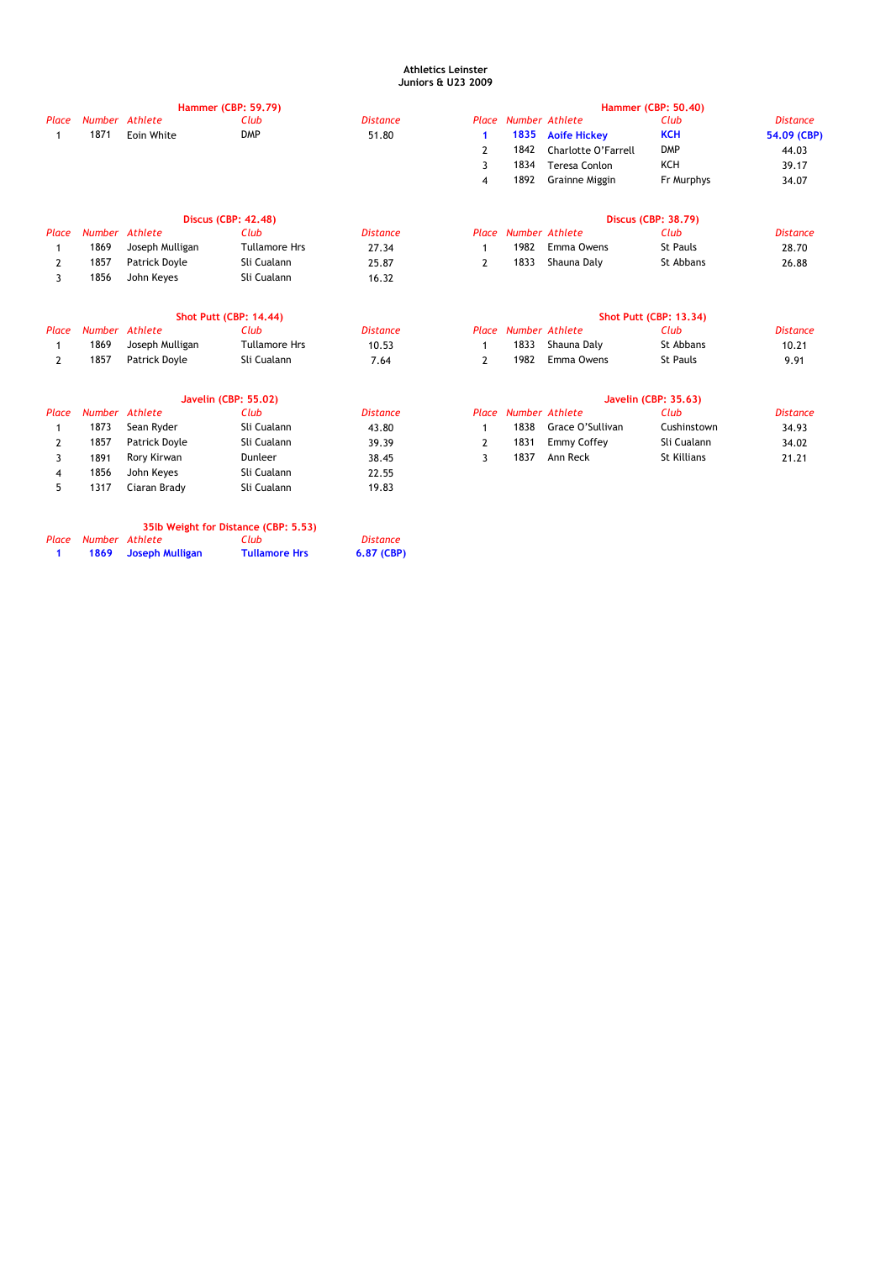# **Athletics Leinster Juniors & U23 2009**

|                |                |                 | <b>Hammer (CBP: 59.79)</b>           |                 |                |                             |                       | <b>Hammer (CBP: 50.40)</b>    |                 |
|----------------|----------------|-----------------|--------------------------------------|-----------------|----------------|-----------------------------|-----------------------|-------------------------------|-----------------|
| Place          | Number Athlete |                 | Club                                 | <b>Distance</b> |                | Place Number Athlete        |                       | Club                          | <b>Distance</b> |
| $\mathbf{1}$   | 1871           | Eoin White      | <b>DMP</b>                           | 51.80           | $\mathbf{1}$   | 1835                        | <b>Aoife Hickey</b>   | <b>KCH</b>                    | 54.09 (CBP)     |
|                |                |                 |                                      |                 | 2              | 1842                        | Charlotte O'Farrell   | <b>DMP</b>                    | 44.03           |
|                |                |                 |                                      |                 | 3              | 1834                        | <b>Teresa Conlon</b>  | <b>KCH</b>                    | 39.17           |
|                |                |                 |                                      |                 | 4              | 1892                        | <b>Grainne Miggin</b> | Fr Murphys                    | 34.07           |
|                |                |                 | <b>Discus (CBP: 42.48)</b>           |                 |                |                             |                       | <b>Discus (CBP: 38.79)</b>    |                 |
| Place          |                | Number Athlete  | Club                                 | <b>Distance</b> |                | <b>Place Number Athlete</b> |                       | Club                          | <b>Distance</b> |
| 1              | 1869           | Joseph Mulligan | <b>Tullamore Hrs</b>                 | 27.34           | $\mathbf{1}$   | 1982                        | Emma Owens            | <b>St Pauls</b>               | 28.70           |
| $\overline{2}$ | 1857           | Patrick Doyle   | Sli Cualann                          | 25.87           | $\overline{2}$ | 1833                        | Shauna Daly           | St Abbans                     | 26.88           |
| 3              | 1856           | John Keyes      | Sli Cualann                          | 16.32           |                |                             |                       |                               |                 |
|                |                |                 | <b>Shot Putt (CBP: 14.44)</b>        |                 |                |                             |                       | <b>Shot Putt (CBP: 13.34)</b> |                 |
| Place          | Number Athlete |                 | Club                                 | <b>Distance</b> |                | <b>Place Number Athlete</b> |                       | Club                          | <b>Distance</b> |
| 1              | 1869           | Joseph Mulligan | <b>Tullamore Hrs</b>                 | 10.53           | $\mathbf{1}$   | 1833                        | Shauna Daly           | St Abbans                     | 10.21           |
| $\overline{2}$ | 1857           | Patrick Doyle   | Sli Cualann                          | 7.64            | $\overline{2}$ | 1982                        | Emma Owens            | <b>St Pauls</b>               | 9.91            |
|                |                |                 | <b>Javelin (CBP: 55.02)</b>          |                 |                |                             |                       | Javelin (CBP: 35.63)          |                 |
| Place          |                | Number Athlete  | Club                                 | <b>Distance</b> |                | Place Number Athlete        |                       | Club                          | <b>Distance</b> |
| 1              | 1873           | Sean Ryder      | Sli Cualann                          | 43.80           | $\mathbf{1}$   | 1838                        | Grace O'Sullivan      | Cushinstown                   | 34.93           |
| 2              | 1857           | Patrick Doyle   | Sli Cualann                          | 39.39           | $\overline{2}$ | 1831                        | Emmy Coffey           | Sli Cualann                   | 34.02           |
| 3              | 1891           | Rory Kirwan     | Dunleer                              | 38.45           | 3              | 1837                        | Ann Reck              | <b>St Killians</b>            | 21.21           |
| 4              | 1856           | John Keyes      | Sli Cualann                          | 22.55           |                |                             |                       |                               |                 |
| 5              | 1317           | Ciaran Brady    | Sli Cualann                          | 19.83           |                |                             |                       |                               |                 |
|                |                |                 | 35lb Weight for Distance (CBP: 5.53) |                 |                |                             |                       |                               |                 |
| Place          | Number Athlete |                 | Club                                 | <b>Distance</b> |                |                             |                       |                               |                 |
| -1             | 1869           | Joseph Mulligan | <b>Tullamore Hrs</b>                 | 6.87 (CBP)      |                |                             |                       |                               |                 |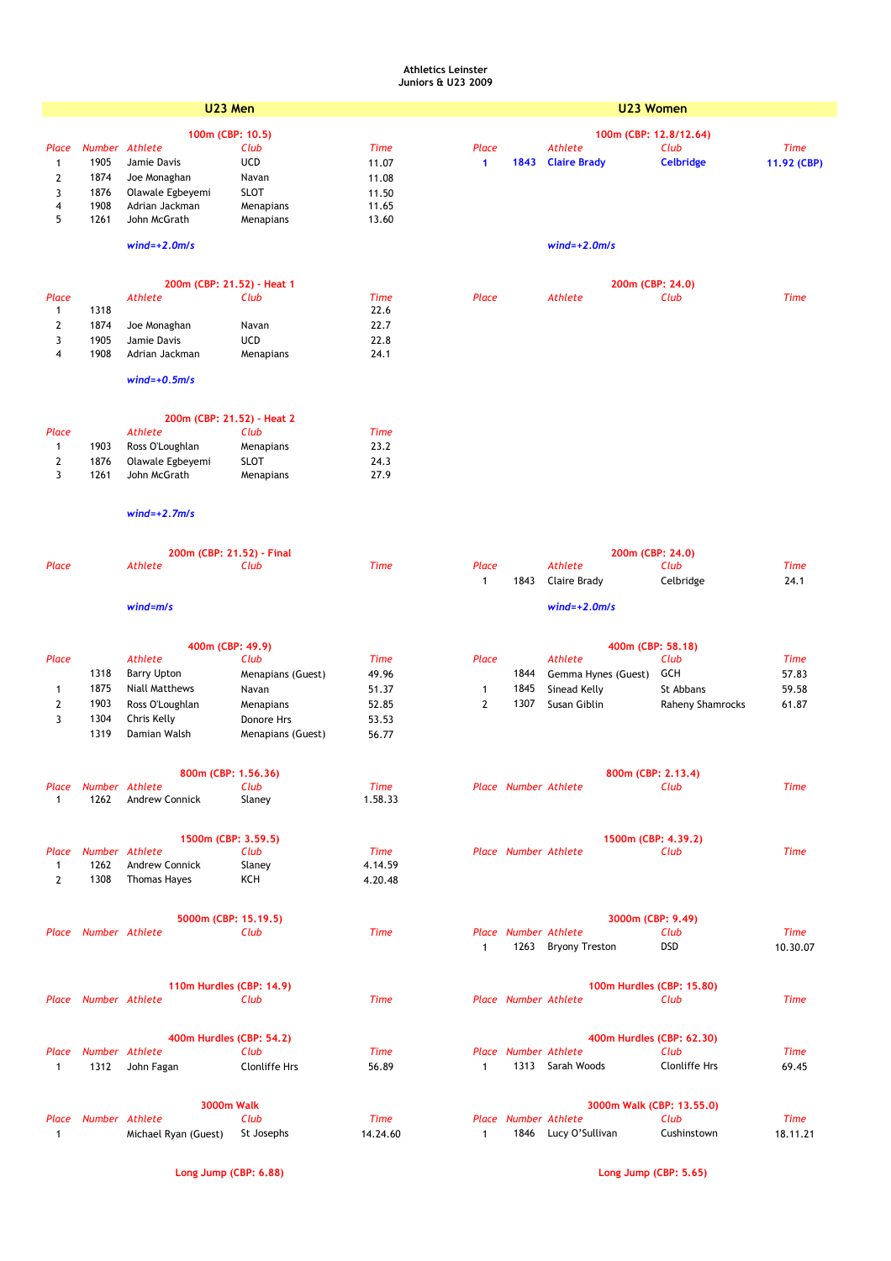## **Athletics Leinster Juniors & U23 2009**

|                                        | U23 Men                |                                             |                      |                    |                | U23 Women |                                                  |                  |                |  |
|----------------------------------------|------------------------|---------------------------------------------|----------------------|--------------------|----------------|-----------|--------------------------------------------------|------------------|----------------|--|
|                                        |                        | 100m (CBP: 10.5)                            |                      |                    |                |           | 100m (CBP: 12.8/12.64)                           |                  |                |  |
| Place                                  | Number Athlete         |                                             | Club                 | <b>Time</b>        | Place          |           | <b>Athlete</b>                                   | Club             | <b>Time</b>    |  |
| 1                                      | 1905                   | Jamie Davis                                 | <b>UCD</b>           | 11.07              | 1              | 1843      | <b>Claire Brady</b>                              | <b>Celbridge</b> | 11.92 (CBP)    |  |
| $\boldsymbol{2}$                       | 1874                   | Joe Monaghan                                | Navan                | 11.08              |                |           |                                                  |                  |                |  |
| 3                                      | 1876                   | Olawale Egbeyemi                            | <b>SLOT</b>          | 11.50              |                |           |                                                  |                  |                |  |
| 4                                      | 1908                   | Adrian Jackman                              | Menapians            | 11.65              |                |           |                                                  |                  |                |  |
| 5                                      | 1261                   | John McGrath                                | Menapians            | 13.60              |                |           |                                                  |                  |                |  |
|                                        |                        |                                             |                      |                    |                |           |                                                  |                  |                |  |
|                                        |                        | $wind=+2.0m/s$                              |                      |                    |                |           | $wind=+2.0m/s$                                   |                  |                |  |
|                                        |                        |                                             |                      |                    |                |           |                                                  |                  |                |  |
|                                        |                        | 200m (CBP: 21.52) - Heat 1                  |                      |                    |                |           | 200m (CBP: 24.0)                                 |                  |                |  |
| Place                                  |                        | <b>Athlete</b>                              | Club                 | <b>Time</b>        | Place          |           | <b>Athlete</b>                                   | Club             | <b>Time</b>    |  |
| $\mathbf{1}$                           | 1318                   |                                             |                      | 22.6               |                |           |                                                  |                  |                |  |
| $\mathbf{2}$<br>3                      | 1874<br>1905           | Joe Monaghan<br>Jamie Davis                 | Navan<br><b>UCD</b>  | 22.7<br>22.8       |                |           |                                                  |                  |                |  |
| 4                                      | 1908                   | Adrian Jackman                              | Menapians            | 24.1               |                |           |                                                  |                  |                |  |
|                                        |                        |                                             |                      |                    |                |           |                                                  |                  |                |  |
|                                        |                        | $wind=+0.5m/s$                              |                      |                    |                |           |                                                  |                  |                |  |
|                                        |                        | 200m (CBP: 21.52) - Heat 2                  |                      |                    |                |           |                                                  |                  |                |  |
| Place                                  |                        | Athlete                                     | Club                 | <b>Time</b>        |                |           |                                                  |                  |                |  |
| $\mathbf{1}$                           | 1903                   | Ross O'Loughlan                             | Menapians            | 23.2               |                |           |                                                  |                  |                |  |
| $\boldsymbol{2}$                       | 1876                   | Olawale Egbeyemi                            | <b>SLOT</b>          | 24.3               |                |           |                                                  |                  |                |  |
| 3                                      | 1261                   | John McGrath                                | Menapians            | 27.9               |                |           |                                                  |                  |                |  |
|                                        |                        |                                             |                      |                    |                |           |                                                  |                  |                |  |
|                                        |                        | $wind=+2.7m/s$                              |                      |                    |                |           |                                                  |                  |                |  |
|                                        |                        |                                             |                      |                    |                |           |                                                  |                  |                |  |
|                                        |                        | 200m (CBP: 21.52) - Final                   |                      |                    |                |           | 200m (CBP: 24.0)                                 |                  |                |  |
| Place                                  |                        | <b>Athlete</b>                              | Club                 | <b>Time</b>        | Place          |           | <b>Athlete</b>                                   | Club             | <b>Time</b>    |  |
|                                        |                        |                                             |                      |                    | $\mathbf{1}$   | 1843      | Claire Brady                                     | Celbridge        | 24.1           |  |
|                                        |                        | $wind = m/s$                                |                      |                    |                |           | $wind=+2.0m/s$                                   |                  |                |  |
|                                        |                        |                                             |                      |                    |                |           |                                                  |                  |                |  |
| Place                                  |                        | 400m (CBP: 49.9)<br>Athlete                 | Club                 | <b>Time</b>        | Place          |           | 400m (CBP: 58.18)<br><b>Athlete</b>              | Club             | <b>Time</b>    |  |
|                                        | 1318                   |                                             | Menapians (Guest)    |                    |                | 1844      | Gemma Hynes (Guest)                              | GCH              |                |  |
|                                        | 1875                   | <b>Barry Upton</b><br><b>Niall Matthews</b> | Navan                | 49.96<br>51.37     | $\mathbf{1}$   | 1845      | Sinead Kelly                                     | St Abbans        | 57.83<br>59.58 |  |
| $\mathbf 1$<br>$\overline{\mathbf{2}}$ | 1903                   | Ross O'Loughlan                             | Menapians            | 52.85              | $\overline{2}$ | 1307      | Susan Giblin                                     | Raheny Shamrocks | 61.87          |  |
| 3                                      | 1304                   | Chris Kelly                                 | Donore Hrs           | 53.53              |                |           |                                                  |                  |                |  |
|                                        | 1319                   | Damian Walsh                                | Menapians (Guest)    | 56.77              |                |           |                                                  |                  |                |  |
|                                        |                        |                                             |                      |                    |                |           |                                                  |                  |                |  |
|                                        |                        | 800m (CBP: 1.56.36)                         |                      |                    |                |           | 800m (CBP: 2.13.4)                               |                  |                |  |
| Place                                  | Number Athlete         |                                             | Club                 | <b>Time</b>        |                |           | Place Number Athlete                             | Club             | Time           |  |
| $\mathbf{1}$                           | 1262                   | <b>Andrew Connick</b>                       | Slaney               | 1.58.33            |                |           |                                                  |                  |                |  |
|                                        |                        |                                             |                      |                    |                |           |                                                  |                  |                |  |
|                                        |                        | 1500m (CBP: 3.59.5)                         |                      |                    |                |           | 1500m (CBP: 4.39.2)                              |                  |                |  |
| Place                                  | Number Athlete<br>1262 |                                             | Club                 | Time               |                |           | <b>Place Number Athlete</b>                      | Club             | <b>Time</b>    |  |
| $\mathbf{1}$<br>$\mathbf{2}$           | 1308                   | <b>Andrew Connick</b><br>Thomas Hayes       | Slaney<br>KCH        | 4.14.59<br>4.20.48 |                |           |                                                  |                  |                |  |
|                                        |                        |                                             |                      |                    |                |           |                                                  |                  |                |  |
|                                        |                        |                                             |                      |                    |                |           |                                                  |                  |                |  |
|                                        | Place Number Athlete   | 5000m (CBP: 15.19.5)                        | Club                 | Time               |                |           | 3000m (CBP: 9.49)<br><b>Place Number Athlete</b> | Club             | Time           |  |
|                                        |                        |                                             |                      |                    | $\mathbf{1}$   |           | 1263 Bryony Treston                              | <b>DSD</b>       | 10.30.07       |  |
|                                        |                        |                                             |                      |                    |                |           |                                                  |                  |                |  |
|                                        |                        | 110m Hurdles (CBP: 14.9)                    |                      |                    |                |           | 100m Hurdles (CBP: 15.80)                        |                  |                |  |
| Place                                  | Number Athlete         |                                             | Club                 | <b>Time</b>        |                |           | Place Number Athlete                             | Club             | <b>Time</b>    |  |
|                                        |                        |                                             |                      |                    |                |           |                                                  |                  |                |  |
|                                        |                        | 400m Hurdles (CBP: 54.2)                    |                      |                    |                |           | 400m Hurdles (CBP: 62.30)                        |                  |                |  |
| Place                                  | Number Athlete         |                                             | Club                 | Time               |                |           | Place Number Athlete                             | Club             | <b>Time</b>    |  |
| $\mathbf{1}$                           | 1312                   | John Fagan                                  | <b>Clonliffe Hrs</b> | 56.89              | $\mathbf{1}$   |           | 1313 Sarah Woods                                 | Clonliffe Hrs    | 69.45          |  |
|                                        |                        |                                             |                      |                    |                |           |                                                  |                  |                |  |
|                                        |                        | <b>3000m Walk</b>                           |                      |                    |                |           | 3000m Walk (CBP: 13.55.0)                        |                  |                |  |
| Place                                  | Number Athlete         |                                             | Club                 | Time               |                |           | Place Number Athlete                             | Club             | Time           |  |
| $\mathbf{1}$                           |                        | Michael Ryan (Guest)                        | St Josephs           | 14.24.60           | 1              |           | 1846 Lucy O'Sullivan                             | Cushinstown      | 18.11.21       |  |
|                                        |                        |                                             |                      |                    |                |           |                                                  |                  |                |  |